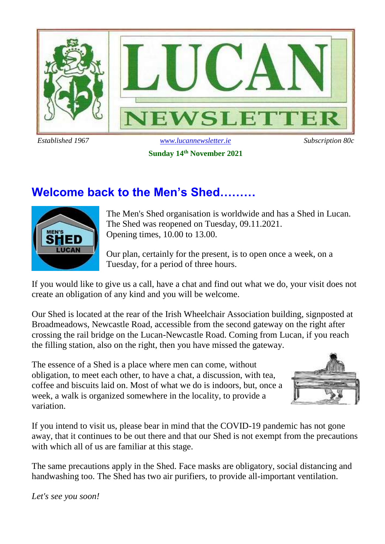

## **Sunday 14th November 2021**

# **Welcome back to the Men's Shed………**



The Men's Shed organisation is worldwide and has a Shed in Lucan. The Shed was reopened on Tuesday, 09.11.2021. Opening times, 10.00 to 13.00.

Our plan, certainly for the present, is to open once a week, on a Tuesday, for a period of three hours.

If you would like to give us a call, have a chat and find out what we do, your visit does not create an obligation of any kind and you will be welcome.

Our Shed is located at the rear of the Irish Wheelchair Association building, signposted at Broadmeadows, Newcastle Road, accessible from the second gateway on the right after crossing the rail bridge on the Lucan-Newcastle Road. Coming from Lucan, if you reach the filling station, also on the right, then you have missed the gateway.

The essence of a Shed is a place where men can come, without obligation, to meet each other, to have a chat, a discussion, with tea, coffee and biscuits laid on. Most of what we do is indoors, but, once a week, a walk is organized somewhere in the locality, to provide a variation.



If you intend to visit us, please bear in mind that the COVID-19 pandemic has not gone away, that it continues to be out there and that our Shed is not exempt from the precautions with which all of us are familiar at this stage.

The same precautions apply in the Shed. Face masks are obligatory, social distancing and handwashing too. The Shed has two air purifiers, to provide all-important ventilation.

*Let's see you soon!*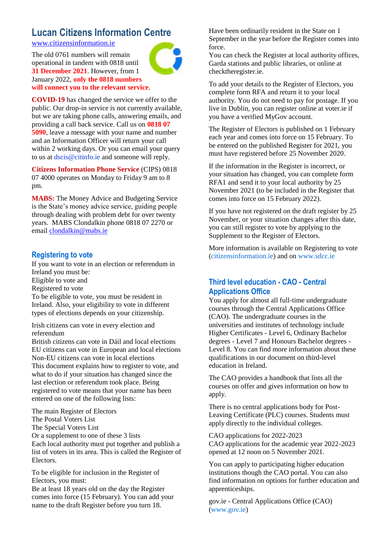# **Lucan Citizens Information Centre**

[www.citizensinformation.ie](http://www.citizensinformation.ie/)

The old 0761 numbers will remain operational in tandem with 0818 until **31 December 2021**. However, from 1 January 2022, **only the 0818 numbers will connect you to the relevant service**.



**COVID-19** has changed the service we offer to the public. Our drop-in service is not currently available, but we are taking phone calls, answering emails, and providing a call back service. Call us on **0818 07 5090**, leave a message with your name and number and an Information Officer will return your call within 2 working days. Or you can email your query to us at dscis@citinfo.ie and someone will reply.

**Citizens Information Phone Service** (CIPS) 0818 07 4000 operates on Monday to Friday 9 am to 8 pm.

**MABS:** The Money Advice and Budgeting Service is the State's money advice service, guiding people through dealing with problem debt for over twenty years. MABS Clondalkin phone 0818 07 2270 or email [clondalkin@mabs.ie](mailto:clondalkin@mabs.ie)

## **Registering to vote**

If you want to vote in an election or referendum in Ireland you must be: Eligible to vote and Registered to vote To be eligible to vote, you must be resident in Ireland. Also, your eligibility to vote in different types of elections depends on your citizenship.

Irish citizens can vote in every election and referendum

British citizens can vote in Dáil and local elections EU citizens can vote in European and local elections Non-EU citizens can vote in local elections This document explains how to register to vote, and what to do if your situation has changed since the last election or referendum took place. Being registered to vote means that your name has been entered on one of the following lists:

The main Register of Electors The Postal Voters List

The Special Voters List

Or a supplement to one of these 3 lists Each local authority must put together and publish a list of voters in its area. This is called the Register of Electors.

To be eligible for inclusion in the Register of Electors, you must:

Be at least 18 years old on the day the Register comes into force (15 February). You can add your name to the draft Register before you turn 18.

Have been ordinarily resident in the State on 1 September in the year before the Register comes into force.

You can check the Register at local authority offices, Garda stations and public libraries, or online at checktheregister.ie.

To add your details to the Register of Electors, you complete form RFA and return it to your local authority. You do not need to pay for postage. If you live in Dublin, you can register online at voter.ie if you have a verified MyGov account.

The Register of Electors is published on 1 February each year and comes into force on 15 February. To be entered on the published Register for 2021, you must have registered before 25 November 2020.

If the information in the Register is incorrect, or your situation has changed, you can complete form RFA1 and send it to your local authority by 25 November 2021 (to be included in the Register that comes into force on 15 February 2022).

If you have not registered on the draft register by 25 November, or your situation changes after this date, you can still register to vote by applying to the Supplement to the Register of Electors.

More information is available on Registering to vote (citizensinformation.ie) and on www.sdcc.ie

## **Third level education - CAO - Central Applications Office**

You apply for almost all full-time undergraduate courses through the Central Applications Office (CAO). The undergraduate courses in the universities and institutes of technology include Higher Certificates - Level 6, Ordinary Bachelor degrees - Level 7 and Honours Bachelor degrees - Level 8. You can find more information about these qualifications in our document on third-level education in Ireland.

The CAO provides a handbook that lists all the courses on offer and gives information on how to apply.

There is no central applications body for Post-Leaving Certificate (PLC) courses. Students must apply directly to the individual colleges.

CAO applications for 2022-2023 CAO applications for the academic year 2022-2023 opened at 12 noon on 5 November 2021.

You can apply to participating higher education institutions though the CAO portal. You can also find information on options for further education and apprenticeships.

gov.ie - Central Applications Office (CAO) (www.gov.ie)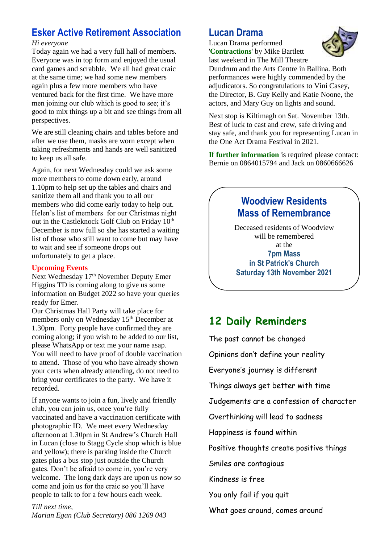# **Esker Active Retirement Association**

### *Hi everyone*

Today again we had a very full hall of members. Everyone was in top form and enjoyed the usual card games and scrabble. We all had great craic at the same time; we had some new members again plus a few more members who have ventured back for the first time. We have more men joining our club which is good to see; it's good to mix things up a bit and see things from all perspectives.

We are still cleaning chairs and tables before and after we use them, masks are worn except when taking refreshments and hands are well sanitized to keep us all safe.

Again, for next Wednesday could we ask some more members to come down early, around 1.10pm to help set up the tables and chairs and sanitize them all and thank you to all our members who did come early today to help out. Helen's list of members for our Christmas night out in the Castleknock Golf Club on Friday 10<sup>th</sup> December is now full so she has started a waiting list of those who still want to come but may have to wait and see if someone drops out unfortunately to get a place.

## **Upcoming Events**

Next Wednesday 17<sup>th</sup> November Deputy Emer Higgins TD is coming along to give us some information on Budget 2022 so have your queries ready for Emer.

Our Christmas Hall Party will take place for members only on Wednesday 15<sup>th</sup> December at 1.30pm. Forty people have confirmed they are coming along; if you wish to be added to our list, please WhatsApp or text me your name asap. You will need to have proof of double vaccination to attend. Those of you who have already shown your certs when already attending, do not need to bring your certificates to the party. We have it recorded.

If anyone wants to join a fun, lively and friendly club, you can join us, once you're fully vaccinated and have a vaccination certificate with photographic ID. We meet every Wednesday afternoon at 1.30pm in St Andrew's Church Hall in Lucan (close to Stagg Cycle shop which is blue and yellow); there is parking inside the Church gates plus a bus stop just outside the Church gates. Don't be afraid to come in, you're very welcome. The long dark days are upon us now so come and join us for the craic so you'll have people to talk to for a few hours each week.

*Till next time, Marian Egan (Club Secretary) 086 1269 043* 

## **Lucan Drama**

Lucan Drama performed '**Contractions**' by Mike Bartlett last weekend in The Mill Theatre



Dundrum and the Arts Centre in Ballina. Both performances were highly commended by the adjudicators. So congratulations to Vini Casey, the Director, B. Guy Kelly and Katie Noone, the actors, and Mary Guy on lights and sound.

Next stop is Kiltimagh on Sat. November 13th. Best of luck to cast and crew, safe driving and stay safe, and thank you for representing Lucan in the One Act Drama Festival in 2021.

**If further information** is required please contact: Bernie on 0864015794 and Jack on 0860666626

## **Woodview Residents Mass of Remembrance**

Deceased residents of Woodview will be remembered at the **7pm Mass in St Patrick's Church Saturday 13th November 2021**

# **12 Daily Reminders**

The past cannot be changed Opinions don't define your reality Everyone's journey is different Things always get better with time Judgements are a confession of character Overthinking will lead to sadness Happiness is found within Positive thoughts create positive things Smiles are contagious Kindness is free You only fail if you quit What goes around, comes around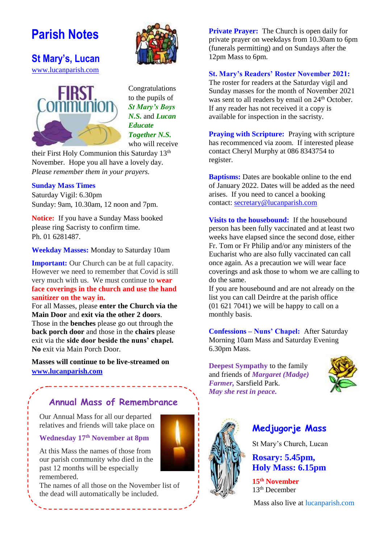# **Parish Notes**



**St Mary's, Lucan**  [www.lucanparish.com](http://www.lucanparish.com/)



Congratulations to the pupils of *St Mary's Boys N.S.* and *Lucan Educate Together N.S.* who will receive

their First Holy Communion this Saturday 13<sup>th</sup> November. Hope you all have a lovely day. *Please remember them in your prayers.* 

## **Sunday Mass Times**

Saturday Vigil: 6.30pm Sunday: 9am, 10.30am, 12 noon and 7pm.

**Notice:** If you have a Sunday Mass booked please ring Sacristy to confirm time. Ph. 01 6281487.

**Weekday Masses:** Monday to Saturday 10am

**Important:** Our Church can be at full capacity. However we need to remember that Covid is still very much with us. We must continue to **wear face coverings in the church and use the hand sanitizer on the way in.**

For all Masses, please **enter the Church via the Main Door** and **exit via the other 2 doors**. Those in the **benches** please go out through the **back porch door** and those in the **chairs** please exit via the **side door beside the nuns' chapel. No** exit via Main Porch Door.

**Masses will continue to be live-streamed on [www.lucanparish.com](http://www.lucanparish.com/)**

## **Annual Mass of Remembrance**

Our Annual Mass for all our departed relatives and friends will take place on

**Wednesday 17th November at 8pm**

At this Mass the names of those from our parish community who died in the past 12 months will be especially remembered.

The names of all those on the November list of the dead will automatically be included.

**Private Prayer:** The Church is open daily for private prayer on weekdays from 10.30am to 6pm (funerals permitting) and on Sundays after the 12pm Mass to 6pm.

#### **St. Mary's Readers' Roster November 2021:**

The roster for readers at the Saturday vigil and Sunday masses for the month of November 2021 was sent to all readers by email on 24<sup>th</sup> October. If any reader has not received it a copy is available for inspection in the sacristy.

**Praying with Scripture:** Praying with scripture has recommenced via zoom. If interested please contact Cheryl Murphy at 086 8343754 to register.

**Baptisms:** Dates are bookable online to the end of January 2022. Dates will be added as the need arises. If you need to cancel a booking contact: [secretary@lucanparish.com](mailto:secretary@lucanparish.com?subject=Cancellation%20of%20Baptism%20Booking&body=Dear%20Secretary%2C%0AI%20wish%20to%20cancel%20the%20booking%20made%20for%20baby%3A%0Aon%20date%3A%0AThank%20You)

**Visits to the housebound:** If the housebound person has been fully vaccinated and at least two weeks have elapsed since the second dose, either Fr. Tom or Fr Philip and/or any ministers of the Eucharist who are also fully vaccinated can call once again. As a precaution we will wear face coverings and ask those to whom we are calling to do the same.

If you are housebound and are not already on the list you can call Deirdre at the parish office (01 621 7041) we will be happy to call on a monthly basis.

**Confessions – Nuns' Chapel:** After Saturday Morning 10am Mass and Saturday Evening 6.30pm Mass.

**Deepest Sympathy** to the family and friends of *Margaret (Madge) Farmer,* Sarsfield Park. *May she rest in peace.*





## **Medjugorje Mass**

St Mary's Church, Lucan

**Rosary: 5.45pm, Holy Mass: 6.15pm**

**15th November** 13th December

Mass also live at lucanparish.com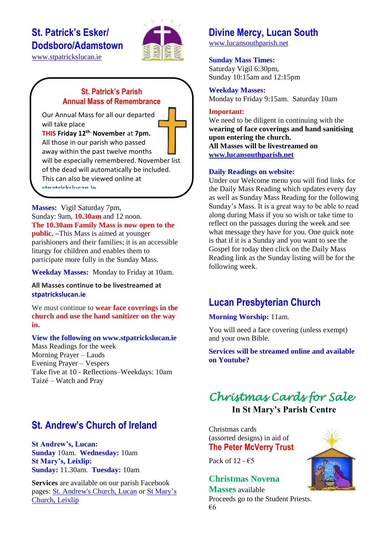# **St. Patrick's Esker/ Dodsboro/Adamstown**



[www.stpatrickslucan.ie](http://www.stpatrickslucan.ie/)

## **St. Patrick's Parish Annual Mass of Remembrance**

Our Annual Mass for all our departed will take place

**THIS Friday 12th. November** at **7pm.** All those in our parish who passed away within the past twelve months will be especially remembered. November list of the dead will automatically be included. This can also be viewed online at **stpatrickslucan.ie**

**Masses:** Vigil Saturday 7pm, Sunday: 9am, **10.30am** and 12 noon. **The 10.30am Family Mass is now open to the public. –**This Mass is aimed at younger parishioners and their families; it is an accessible liturgy for children and enables them to participate more fully in the Sunday Mass.

**Weekday Masses:** Monday to Friday at 10am.

**All Masses continue to be livestreamed at stpatrickslucan.ie**

We must continue to **wear face coverings in the church and use the hand sanitizer on the way in.**

#### **View the following on www.stpatrickslucan.ie**

Mass Readings for the week Morning Prayer – Lauds Evening Prayer – Vespers Take five at 10 - Reflections–Weekdays: 10am Taizé – Watch and Pray

# **St. Andrew's Church of Ireland**

**St Andrew's, Lucan: Sunday** 10am. **Wednesday:** 10am **St Mary's, Leixlip: Sunday:** 11.30am. **Tuesday:** 10am

**Services** are available on our parish Facebook pages: [St. Andrew's Church, Lucan](https://www.facebook.com/standrewslucan/) or [St Mary's](https://www.facebook.com/stmarysleixlip/)  [Church, Leixlip](https://www.facebook.com/stmarysleixlip/)

## **Divine Mercy, Lucan South**

[www.lucansouthparish.net](http://www.lucansouthparish.net/)

### **Sunday Mass Times:**

Saturday Vigil 6:30pm, Sunday 10:15am and 12:15pm

**Weekday Masses:** Monday to Friday 9:15am. Saturday 10am

#### **Important:**

We need to be diligent in continuing with the **wearing of face coverings and hand sanitising upon entering the church. All Masses will be livestreamed on [www.lucansouthparish.net](http://www.lucansouthparish.net/)**

#### **Daily Readings on website:**

Under our Welcome menu you will find links for the Daily Mass Reading which updates every day as well as Sunday Mass Reading for the following Sunday's Mass. It is a great way to be able to read along during Mass if you so wish or take time to reflect on the passages during the week and see what message they have for you. One quick note is that if it is a Sunday and you want to see the Gospel for today then click on the Daily Mass Reading link as the Sunday listing will be for the following week.

# **Lucan Presbyterian Church**

## **Morning Worship:** 11am.

You will need a face covering (unless exempt) and your own Bible.

**Services will be streamed online and available on Youtube?**

# *Christmas Cards for Sale*  **In St Mary's Parish Centre**

Christmas cards (assorted designs) in aid of **The Peter McVerry Trust** 

Pack of 12 -  $\epsilon$ 5

## **Christmas Novena**

**Masses** available Proceeds go to the Student Priests. €6

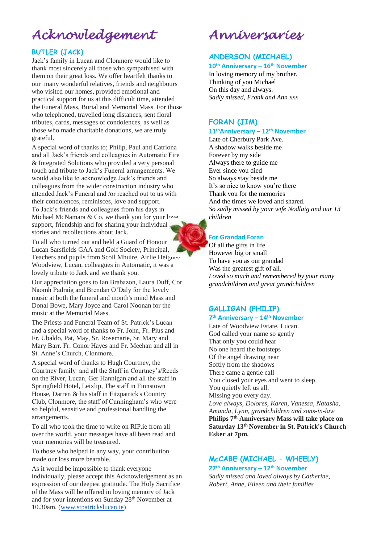# *Acknowledgement*

### **BUTLER (JACK)**

Jack's family in Lucan and Clonmore would like to thank most sincerely all those who sympathised with them on their great loss. We offer heartfelt thanks to our many wonderful relatives, friends and neighbours who visited our homes, provided emotional and practical support for us at this difficult time, attended the Funeral Mass, Burial and Memorial Mass. For those who telephoned, travelled long distances, sent floral tributes, cards, messages of condolences, as well as those who made charitable donations, we are truly grateful.

A special word of thanks to; Philip, Paul and Catriona and all Jack's friends and colleagues in Automatic Fire & Integrated Solutions who provided a very personal touch and tribute to Jack's Funeral arrangements. We would also like to acknowledge Jack's friends and colleagues from the wider construction industry who attended Jack's Funeral and /or reached out to us with their condolences, reminisces, love and support. To Jack's friends and colleagues from his days in Michael McNamara & Co. we thank you for your love support, friendship and for sharing your individual stories and recollections about Jack.

To all who turned out and held a Guard of Honour f Lucan Sarsfields GAA and Golf Society, Principal, Teachers and pupils from Scoil Mhuire, Airlie Heights/ Woodview, Lucan, colleagues in Automatic, it was a lovely tribute to Jack and we thank you.

Our appreciation goes to Ian Brabazon, Laura Duff, Cor Naomh Padraig and Brendan O'Daly for the lovely music at both the funeral and month's mind Mass and Donal Bowe, Mary Joyce and Carol Noonan for the music at the Memorial Mass.

The Priests and Funeral Team of St. Patrick's Lucan and a special word of thanks to Fr. John, Fr. Pius and Fr. Ubaldo, Pat, May, Sr. Rosemarie, Sr. Mary and Mary Barr. Fr. Conor Hayes and Fr. Meehan and all in St. Anne's Church, Clonmore.

A special word of thanks to Hugh Courtney, the Courtney family and all the Staff in Courtney's/Reeds on the River, Lucan, Ger Hannigan and all the staff in Springfield Hotel, Leixlip, The staff in Finnstown House, Darren & his staff in Fitzpatrick's Country Club, Clonmore, the staff of Cunningham's who were so helpful, sensitive and professional handling the arrangements.

To all who took the time to write on RIP.ie from all over the world, your messages have all been read and your memories will be treasured.

To those who helped in any way, your contribution made our loss more bearable.

As it would be impossible to thank everyone individually, please accept this Acknowledgement as an expression of our deepest gratitude. The Holy Sacrifice of the Mass will be offered in loving memory of Jack and for your intentions on Sunday 28<sup>th</sup> November at 10.30am. [\(www.stpatrickslucan.ie\)](http://www.stpatrickslucan.ie/)

*Anniversaries* 

## **ANDERSON (MICHAEL)**

**10th Anniversary – 16th November**

In loving memory of my brother. Thinking of you Michael On this day and always. *Sadly missed, Frank and Ann xxx*

### **FORAN (JIM)**

**11thAnniversary – 12th November**

Late of Cherbury Park Ave. A shadow walks beside me Forever by my side Always there to guide me Ever since you died So always stay beside me It's so nice to know you're there Thank you for the memories And the times we loved and shared. *So sadly missed by your wife Nodlaig and our 13 children*

#### **For Grandad Foran**

Of all the gifts in life However big or small To have you as our grandad Was the greatest gift of all. *Loved so much and remembered by your many grandchildren and great grandchildren*

# **GALLIGAN (PHILIP)**

#### **7 th Anniversary – 14th November**

Late of Woodview Estate, Lucan. God called your name so gently That only you could hear No one heard the footsteps Of the angel drawing near Softly from the shadows There came a gentle call You closed your eyes and went to sleep You quietly left us all. Missing you every day. *Love always, Dolores, Karen, Vanessa, Natasha, Amanda, Lynn, grandchildren and sons-in-law* **Philips 7th Anniversary Mass will take place on Saturday 13th November in St. Patrick's Church Esker at 7pm.**

## **McCABE (MICHAEL – WHEELY)**

**27th Anniversary – 12th November** *Sadly missed and loved always by Catherine, Robert, Anne, Eileen and their families*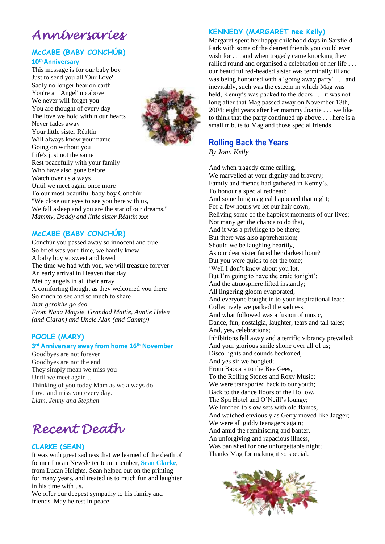# *Anniversaries*

## **McCABE (BABY CONCHÚR) 10thAnniversary**

This message is for our baby boy Just to send you all 'Our Love' Sadly no longer hear on earth You're an 'Angel' up above We never will forget you You are thought of every day The love we hold within our hearts Never fades away Your little sister Réaltín Will always know your name Going on without you Life's just not the same Rest peacefully with your family Who have also gone before Watch over us always Until we meet again once more To our most beautiful baby boy Conchúr "We close our eyes to see you here with us, We fall asleep and you are the star of our dreams." *Mammy, Daddy and little sister Réaltín xxx*

## **McCABE (BABY CONCHÚR)**

Conchúr you passed away so innocent and true So brief was your time, we hardly knew A baby boy so sweet and loved The time we had with you, we will treasure forever An early arrival in Heaven that day Met by angels in all their array A comforting thought as they welcomed you there So much to see and so much to share *Inar gcroithe go deo* – *From Nana Magsie, Grandad Mattie, Auntie Helen (and Ciaran) and Uncle Alan (and Cammy)*

## **POOLE (MARY)**

#### **3 rd Anniversary away from home 16th November**

Goodbyes are not forever Goodbyes are not the end They simply mean we miss you Until we meet again... Thinking of you today Mam as we always do. Love and miss you every day. *Liam, Jenny and Stephen*

# *Recent Death*

#### **CLARKE (SEAN)**

It was with great sadness that we learned of the death of former Lucan Newsletter team member, **Sean Clarke**, from Lucan Heights. Sean helped out on the printing for many years, and treated us to much fun and laughter in his time with us.

We offer our deepest sympathy to his family and friends. May he rest in peace.

## **KENNEDY (MARGARET nee Kelly)**

Margaret spent her happy childhood days in Sarsfield Park with some of the dearest friends you could ever wish for . . . and when tragedy came knocking they rallied round and organised a celebration of her life . . . our beautiful red-headed sister was terminally ill and was being honoured with a 'going away party' . . . and inevitably, such was the esteem in which Mag was held, Kenny's was packed to the doors . . . it was not long after that Mag passed away on November 13th, 2004; eight years after her mammy Joanie . . . we like to think that the party continued up above . . . here is a small tribute to Mag and those special friends.

## **Rolling Back the Years**

*By John Kelly*

And when tragedy came calling, We marvelled at your dignity and bravery; Family and friends had gathered in Kenny's, To honour a special redhead; And something magical happened that night; For a few hours we let our hair down, Reliving some of the happiest moments of our lives; Not many get the chance to do that, And it was a privilege to be there; But there was also apprehension; Should we be laughing heartily, As our dear sister faced her darkest hour? But you were quick to set the tone; 'Well I don't know about you lot, But I'm going to have the craic tonight'; And the atmosphere lifted instantly; All lingering gloom evaporated, And everyone bought in to your inspirational lead; Collectively we parked the sadness, And what followed was a fusion of music, Dance, fun, nostalgia, laughter, tears and tall tales; And, yes, celebrations; Inhibitions fell away and a terrific vibrancy prevailed; And your glorious smile shone over all of us; Disco lights and sounds beckoned, And yes sir we boogied; From Baccara to the Bee Gees, To the Rolling Stones and Roxy Music; We were transported back to our youth; Back to the dance floors of the Hollow, The Spa Hotel and O'Neill's lounge; We lurched to slow sets with old flames, And watched enviously as Gerry moved like Jagger; We were all giddy teenagers again; And amid the reminiscing and banter, An unforgiving and rapacious illness, Was banished for one unforgettable night; Thanks Mag for making it so special.



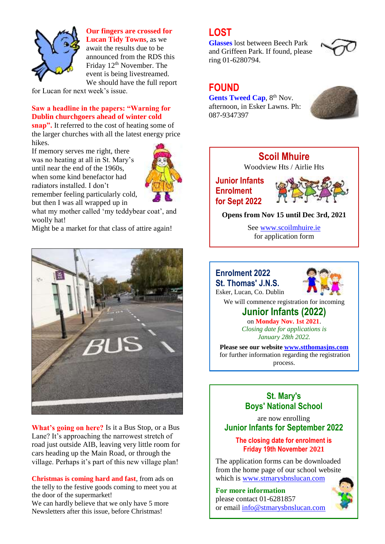

**Our fingers are crossed for** 

**Lucan Tidy Towns**, as we await the results due to be announced from the RDS this Friday 12<sup>th</sup> November. The event is being livestreamed. We should have the full report

for Lucan for next week's issue.

### **Saw a headline in the papers: "Warning for Dublin churchgoers ahead of winter cold**

**snap".** It referred to the cost of heating some of the larger churches with all the latest energy price hikes.

If memory serves me right, there was no heating at all in St. Mary's until near the end of the 1960s, when some kind benefactor had radiators installed. I don't remember feeling particularly cold, but then I was all wrapped up in



what my mother called 'my teddybear coat', and woolly hat!

Might be a market for that class of attire again!



**What's going on here?** Is it a Bus Stop, or a Bus Lane? It's approaching the narrowest stretch of road just outside AIB, leaving very little room for cars heading up the Main Road, or through the village. Perhaps it's part of this new village plan!

**Christmas is coming hard and fast**, from ads on the telly to the festive goods coming to meet you at the door of the supermarket!

We can hardly believe that we only have 5 more Newsletters after this issue, before Christmas!

## **LOST**

**Glasses** lost between Beech Park and Griffeen Park. If found, please ring 01-6280794.



## **FOUND**

**Gents Tweed Cap. 8th Nov.** afternoon, in Esker Lawns. Ph: 087-9347397



# **Scoil Mhuire**

Woodview Hts / Airlie Hts

## **Junior Infants Enrolment for Sept 2022**



**Opens from Nov 15 until Dec 3rd, 2021**

See [www.scoilmhuire.ie](http://www.scoilmhuire.ie/) for application form

## **Enrolment 2022**

**St. Thomas' J.N.S.** Esker, Lucan, Co. Dublin



We will commence registration for incoming

## **Junior Infants (2022)** on **Monday Nov. 1st 2021**.

*Closing date for applications is January 28th 2022.*

**Please see our website [www.stthomasjns.com](http://www.stthomasjns.com/)** for further information regarding the registration process.

## **St. Mary's Boys' National School**

are now enrolling **Junior Infants for September 2022**

## **The closing date for enrolment is Friday 19th November 2021**

The application forms can be downloaded from the home page of our school website which is [www.stmarysbnslucan.com](http://www.stmarysbnslucan.com/)

**For more information**  please contact 01-6281857 or email [info@stmarysbnslucan.com](mailto:info@stmarysbnslucan.com)

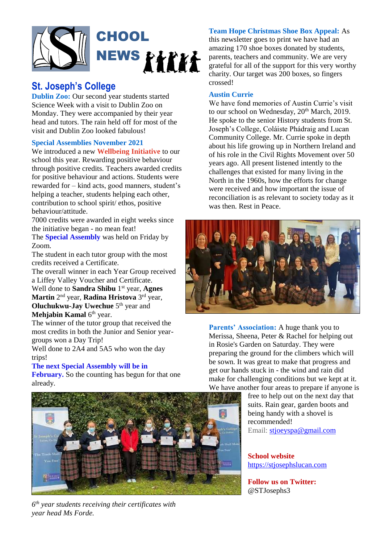

## **St. Joseph's College**

**Dublin Zoo:** Our second year students started Science Week with a visit to Dublin Zoo on Monday. They were accompanied by their year head and tutors. The rain held off for most of the visit and Dublin Zoo looked fabulous!

## **Special Assemblies November 2021**

We introduced a new **Wellbeing Initiative** to our school this year. Rewarding positive behaviour through positive credits. Teachers awarded credits for positive behaviour and actions. Students were rewarded for – kind acts, good manners, student's helping a teacher, students helping each other, contribution to school spirit/ ethos, positive behaviour/attitude.

7000 credits were awarded in eight weeks since the initiative began - no mean feat!

The **Special Assembly** was held on Friday by Zoom.

The student in each tutor group with the most credits received a Certificate.

The overall winner in each Year Group received a Liffey Valley Voucher and Certificate. Well done to **Sandra Shibu** 1 st year, **Agnes Martin** 2 nd year, **Radina Hristova** 3 rd year, **Oluchukwu-Jay Uwechue** 5<sup>th</sup> year and **Mehjabin Kamal** 6<sup>th</sup> year.

The winner of the tutor group that received the most credits in both the Junior and Senior yeargroups won a Day Trip!

Well done to 2A4 and 5A5 who won the day trips!

#### **The next Special Assembly will be in**

**February.** So the counting has begun for that one already.



*6 th year students receiving their certificates with year head Ms Forde.*

## **Team Hope Christmas Shoe Box Appeal:** As

this newsletter goes to print we have had an amazing 170 shoe boxes donated by students, parents, teachers and community. We are very grateful for all of the support for this very worthy charity. Our target was 200 boxes, so fingers crossed!

## **Austin Currie**

We have fond memories of Austin Currie's visit to our school on Wednesday, 20<sup>th</sup> March, 2019. He spoke to the senior History students from St. Joseph's College, Coláiste Phádraig and Lucan Community College. Mr. Currie spoke in depth about his life growing up in Northern Ireland and of his role in the Civil Rights Movement over 50 years ago. All present listened intently to the challenges that existed for many living in the North in the 1960s, how the efforts for change were received and how important the issue of reconciliation is as relevant to society today as it was then. Rest in Peace.



**Parents' Association:** A huge thank you to Merissa, Sheena, Peter & Rachel for helping out in Rosie's Garden on Saturday. They were preparing the ground for the climbers which will be sown. It was great to make that progress and get our hands stuck in - the wind and rain did make for challenging conditions but we kept at it. We have another four areas to prepare if anyone is

free to help out on the next day that suits. Rain gear, garden boots and being handy with a shovel is recommended! Email: [stjoeyspa@gmail.com](mailto:stjoeyspa@gmail.com)

**School website** [https://stjosephslucan.com](https://stjosephslucan.com/)

**Follow us on Twitter:** @STJosephs3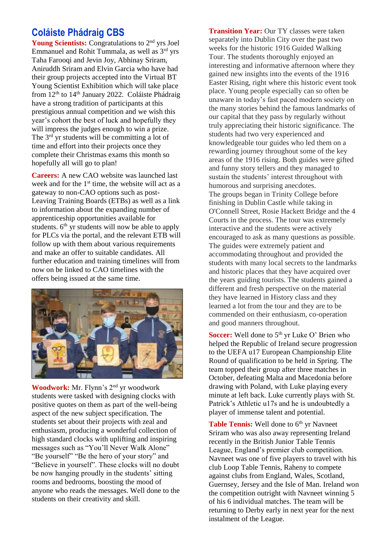## **Coláiste Phádraig CBS**

**Young Scientists:** Congratulations to 2nd yrs Joel Emmanuel and Rohit Tummala, as well as 3rd yrs Taha Farooqi and Jevin Joy, Abhinay Sriram, Aniruddh Sriram and Elvin Garcia who have had their group projects accepted into the Virtual BT Young Scientist Exhibition which will take place from  $12<sup>th</sup>$  to  $14<sup>th</sup>$  January 2022. Coláiste Phádraig have a strong tradition of participants at this prestigious annual competition and we wish this year's cohort the best of luck and hopefully they will impress the judges enough to win a prize. The 3<sup>rd</sup> yr students will be committing a lot of time and effort into their projects once they complete their Christmas exams this month so hopefully all will go to plan!

**Careers:** A new CAO website was launched last week and for the  $1<sup>st</sup>$  time, the website will act as a gateway to non-CAO options such as post-Leaving Training Boards (ETBs) as well as a link to information about the expanding number of apprenticeship opportunities available for students.  $6<sup>th</sup>$  yr students will now be able to apply for PLCs via the portal, and the relevant ETB will follow up with them about various requirements and make an offer to suitable candidates. All further education and training timelines will from now on be linked to CAO timelines with the offers being issued at the same time.



**Woodwork:** Mr. Flynn's 2nd yr woodwork students were tasked with designing clocks with positive quotes on them as part of the well-being aspect of the new subject specification. The students set about their projects with zeal and enthusiasm, producing a wonderful collection of high standard clocks with uplifting and inspiring messages such as "You'll Never Walk Alone" "Be yourself" "Be the hero of your story" and "Believe in yourself". These clocks will no doubt be now hanging proudly in the students' sitting rooms and bedrooms, boosting the mood of anyone who reads the messages. Well done to the students on their creativity and skill.

**Transition Year:** Our TY classes were taken separately into Dublin City over the past two weeks for the historic 1916 Guided Walking Tour. The students thoroughly enjoyed an interesting and informative afternoon where they gained new insights into the events of the 1916 Easter Rising, right where this historic event took place. Young people especially can so often be unaware in today's fast paced modern society on the many stories behind the famous landmarks of our capital that they pass by regularly without truly appreciating their historic significance. The students had two very experienced and knowledgeable tour guides who led them on a rewarding journey throughout some of the key areas of the 1916 rising. Both guides were gifted and funny story tellers and they managed to sustain the students' interest throughout with humorous and surprising anecdotes. The groups began in Trinity College before finishing in Dublin Castle while taking in O'Connell Street, Rosie Hackett Bridge and the 4 Courts in the process. The tour was extremely interactive and the students were actively encouraged to ask as many questions as possible. The guides were extremely patient and accommodating throughout and provided the students with many local secrets to the landmarks and historic places that they have acquired over the years guiding tourists. The students gained a different and fresh perspective on the material they have learned in History class and they learned a lot from the tour and they are to be commended on their enthusiasm, co-operation and good manners throughout.

**Soccer:** Well done to 5<sup>th</sup> yr Luke O' Brien who helped the Republic of Ireland secure progression to the UEFA u17 European Championship Elite Round of qualification to be held in Spring. The team topped their group after three matches in October, defeating Malta and Macedonia before drawing with Poland, with Luke playing every minute at left back. Luke currently plays with St. Patrick's Athletic u17s and he is undoubtedly a player of immense talent and potential.

Table Tennis: Well done to 6<sup>th</sup> yr Navneet Sriram who was also away representing Ireland recently in the British Junior Table Tennis League, England's premier club competition. Navneet was one of five players to travel with his club Loop Table Tennis, Raheny to compete against clubs from England, Wales, Scotland, Guernsey, Jersey and the Isle of Man. Ireland won the competition outright with Navneet winning 5 of his 6 individual matches. The team will be returning to Derby early in next year for the next instalment of the League.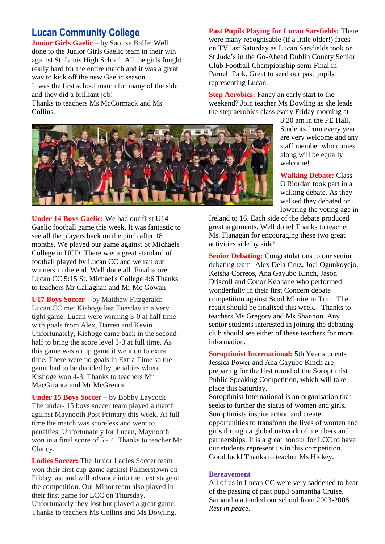## **Lucan Community College**

**Junior Girls Gaelic –** by Saoirse Balfe: Well done to the Junior Girls Gaelic team in their win against St. Louis High School. All the girls fought really hard for the entire match and it was a great way to kick off the new Gaelic season. It was the first school match for many of the side and they did a brilliant job! Thanks to teachers Ms McCormack and Ms Collins.

**Past Pupils Playing for Lucan Sarsfields:** There were many recognisable (if a little older!) faces on TV last Saturday as Lucan Sarsfields took on St Jude's in the Go-Ahead Dublin County Senior Club Football Championship semi-Final in Parnell Park. Great to seed our past pupils representing Lucan.

**Step Aerobics:** Fancy an early start to the weekend? Join teacher Ms Dowling as she leads the step aerobics class every Friday morning at

> 8:20 am in the PE Hall. Students from every year are very welcome and any staff member who comes along will be equally welcome!

> **Walking Debate:** Class O'Riordan took part in a walking debate. As they walked they debated on lowering the voting age in

Ireland to 16. Each side of the debate produced great arguments. Well done! Thanks to teacher Ms. Flanagan for encouraging these two great activities side by side!

**Senior Debating:** Congratulations to our senior debating team- Alex Dela Cruz, Joel Ogunkoyejo, Keisha Correos, Ana Gayubo Kinch, Jason Driscoll and Conor Keohane who performed wonderfully in their first Concern debate competition against Scoil Mhuire in Trim. The result should be finalised this week. Thanks to teachers Ms Gregory and Ms Shannon. Any senior students interested in joining the debating club should see either of these teachers for more information.

**Soroptimist International:** 5th Year students Jessica Power and Ana Gayubo Kinch are preparing for the first round of the Soroptimist Public Speaking Competition, which will take place this Saturday.

Soroptimist International is an organisation that seeks to further the status of women and girls. Soroptimists inspire action and create opportunities to transform the lives of women and girls through a global network of members and partnerships. It is a great honour for LCC to have our students represent us in this competition. Good luck! Thanks to teacher Ms Hickey.

#### **Bereavement**

All of us in Lucan CC were very saddened to hear of the passing of past pupil Samantha Cruise. Samantha attended our school from 2003-2008. *Rest in peace*.



Gaelic football game this week. It was fantastic to see all the players back on the pitch after 18 months. We played our game against St Michaels College in UCD. There was a great standard of football played by Lucan CC and we ran out winners in the end. Well done all. Final score: Lucan CC 5:15 St. Michael's College 4:6 Thanks to teachers Mr Callaghan and Mr Mc Gowan

**U17 Boys Soccer –** by Matthew Fitzgerald: Lucan CC met Kishoge last Tuesday in a very tight game. Lucan were winning 3-0 at half time with goals from Alex, Darren and Kevin. Unfortunately, Kishoge came back in the second half to bring the score level 3-3 at full time. As this game was a cup game it went on to extra time. There were no goals in Extra Time so the game had to be decided by penalties where Kishoge won 4-3. Thanks to teachers Mr MacGrianra and Mr McGrenra.

**Under 15 Boys Soccer –** by Bobby Laycock The under- 15 boys soccer team played a match against Maynooth Post Primary this week. At full time the match was scoreless and went to penalties. Unfortunately for Lucan, Maynooth won in a final score of 5 - 4. Thanks to teacher Mr Clancy.

**Ladies Soccer:** The Junior Ladies Soccer team won their first cup game against Palmerstown on Friday last and will advance into the next stage of the competition. Our Minor team also played in their first game for LCC on Thursday. Unfortunately they lost but played a great game. Thanks to teachers Ms Collins and Ms Dowling.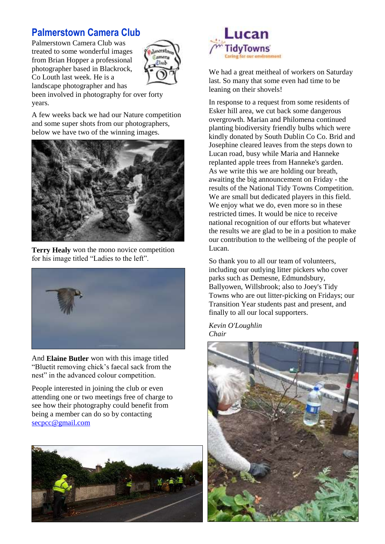# **Palmerstown Camera Club**

Palmerstown Camera Club was treated to some wonderful images from Brian Hopper a professional photographer based in Blackrock, Co Louth last week. He is a landscape photographer and has



been involved in photography for over forty years.

A few weeks back we had our Nature competition and some super shots from our photographers, below we have two of the winning images.



**Terry Healy** won the mono novice competition for his image titled "Ladies to the left".



And **Elaine Butler** won with this image titled "Bluetit removing chick's faecal sack from the nest" in the advanced colour competition.

People interested in joining the club or even attending one or two meetings free of charge to see how their photography could benefit from being a member can do so by contacting [secpcc@gmail.com](mailto:secpcc@gmail.com)





We had a great meitheal of workers on Saturday last. So many that some even had time to be leaning on their shovels!

In response to a request from some residents of Esker hill area, we cut back some dangerous overgrowth. Marian and Philomena continued planting biodiversity friendly bulbs which were kindly donated by South Dublin Co Co. Brid and Josephine cleared leaves from the steps down to Lucan road, busy while Maria and Hanneke replanted apple trees from Hanneke's garden. As we write this we are holding our breath, awaiting the big announcement on Friday - the results of the National Tidy Towns Competition. We are small but dedicated players in this field. We enjoy what we do, even more so in these restricted times. It would be nice to receive national recognition of our efforts but whatever the results we are glad to be in a position to make our contribution to the wellbeing of the people of Lucan.

So thank you to all our team of volunteers, including our outlying litter pickers who cover parks such as Demesne, Edmundsbury, Ballyowen, Willsbrook; also to Joey's Tidy Towns who are out litter-picking on Fridays; our Transition Year students past and present, and finally to all our local supporters.

*Kevin O'Loughlin Chair*

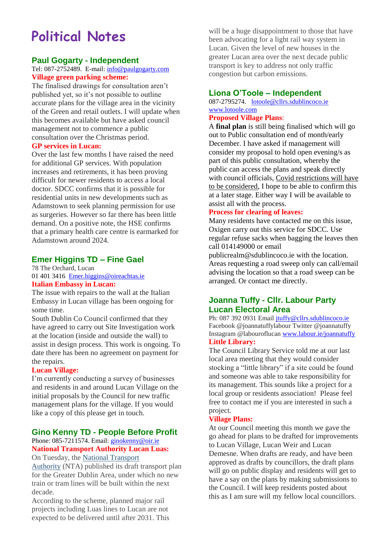# **Political Notes**

## **Paul Gogarty - Independent**

### Tel: 087-2752489. E-mail: [info@paulgogarty.com](mailto:info@paulgogarty.com) **Village green parking scheme:**

The finalised drawings for consultation aren't published yet, so it's not possible to outline accurate plans for the village area in the vicinity of the Green and retail outlets. I will update when this becomes available but have asked council management not to commence a public consultation over the Christmas period.

#### **GP services in Lucan:**

Over the last few months I have raised the need for additional GP services. With population increases and retirements, it has been proving difficult for newer residents to access a local doctor. SDCC confirms that it is possible for residential units in new developments such as Adamstown to seek planning permission for use as surgeries. However so far there has been little demand. On a positive note, the HSE confirms that a primary health care centre is earmarked for Adamstown around 2024.

## **Emer Higgins TD – Fine Gael**

78 The Orchard, Lucan [01 401 3416](tel:014013416) [Emer.higgins@oireachtas.ie](mailto:Emer.higgins@oireachtas.ie) **Italian Embassy in Lucan:**

The issue with repairs to the wall at the Italian Embassy in Lucan village has been ongoing for some time.

South Dublin Co Council confirmed that they have agreed to carry out Site Investigation work at the location (inside and outside the wall) to assist in design process. This work is ongoing. To date there has been no agreement on payment for the repairs.

## **Lucan Village:**

I'm currently conducting a survey of businesses and residents in and around Lucan Village on the initial proposals by the Council for new traffic management plans for the village. If you would like a copy of this please get in touch.

## **Gino Kenny TD - People Before Profit**

#### Phone: 085-7211574. Email: [ginokenny@oir.ie](mailto:ginokenny@oir.ie) **National Transport Authority Lucan Luas:** On Tuesday, the [National Transport](https://www.irishtimes.com/topics/topics-7.1213540?article=true&tag_organisation=National+Transport+Authority)

[Authority](https://www.irishtimes.com/topics/topics-7.1213540?article=true&tag_organisation=National+Transport+Authority) (NTA) published its draft transport plan for the Greater Dublin Area, under which no new train or tram lines will be built within the next decade.

According to the scheme, planned major rail projects including Luas lines to Lucan are not expected to be delivered until after 2031. This

will be a huge disappointment to those that have been advocating for a light rail way system in Lucan. Given the level of new houses in the greater Lucan area over the next decade public transport is key to address not only traffic congestion but carbon emissions.

## **Liona O'Toole – Independent**

087-2795274. [lotoole@cllrs.sdublincoco.ie](mailto:lotoole@cllrs.sdublincoco.ie) [www.lotoole.com](http://www.lotoole.com/)

## **Proposed Village Plans**:

A **final plan** is still being finalised which will go out to Public consultation end of month/early December. I have asked if management will consider my proposal to hold open evening/s as part of this public consultation, whereby the public can access the plans and speak directly with council officials, Covid restrictions will have to be considered, I hope to be able to confirm this at a later stage. Either way I will be available to assist all with the process.

## **Process for clearing of leaves:**

Many residents have contacted me on this issue, Oxigen carry out this service for SDCC. Use regular refuse sacks when bagging the leaves then call 014149000 or email

publicrealm@sdublincoco.ie with the location. Areas requesting a road sweep only can call/email advising the location so that a road sweep can be arranged. Or contact me directly.

## **Joanna Tuffy - Cllr. Labour Party Lucan Electoral Area**

Ph: 087 392 0931 Email [jtuffy@cllrs.sdublincoco.ie](mailto:jtuffy@cllrs.sdublincoco.ie) Facebook @joannatuffylabour Twitter @joannatuffy Instagram @labouroflucan [www.labour.ie/joannatuffy](http://www.labour.ie/joannatuffy) **Little Library:**

The Council Library Service told me at our last local area meeting that they would consider stocking a "little library" if a site could be found and someone was able to take responsibility for its management. This sounds like a project for a local group or residents association! Please feel free to contact me if you are interested in such a project.

#### **Village Plans:**

At our Council meeting this month we gave the go ahead for plans to be drafted for improvements to Lucan Village, Lucan Weir and Lucan Demesne. When drafts are ready, and have been approved as drafts by councillors, the draft plans will go on public display and residents will get to have a say on the plans by making submissions to the Council. I will keep residents posted about this as I am sure will my fellow local councillors.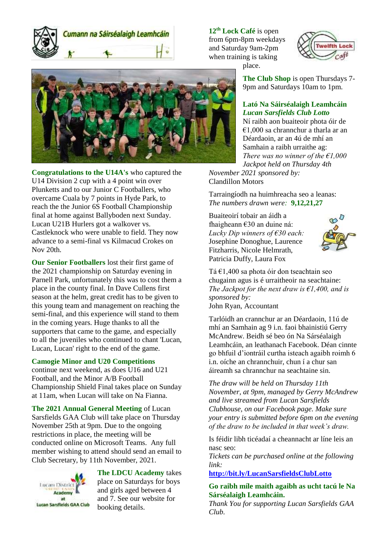Cumann na Sáirséalaigh Leamhcáin

**Congratulations to the U14A's** who captured the U14 Division 2 cup with a 4 point win over Plunketts and to our Junior C Footballers, who overcame Cuala by 7 points in Hyde Park, to reach the the Junior 6S Football Championship final at home against Ballyboden next Sunday. Lucan U21B Hurlers got a walkover vs. Castleknock who were unable to field. They now advance to a semi-final vs Kilmacud Crokes on Nov 20th.

**Our Senior Footballers** lost their first game of the 2021 championship on Saturday evening in Parnell Park, unfortunately this was to cost them a place in the county final. In Dave Cullens first season at the helm, great credit has to be given to this young team and management on reaching the semi-final, and this experience will stand to them in the coming years. Huge thanks to all the supporters that came to the game, and especially to all the juveniles who continued to chant 'Lucan, Lucan, Lucan' right to the end of the game.

#### **Camogie Minor and U20 Competitions**

continue next weekend, as does U16 and U21 Football, and the Minor A/B Football Championship Shield Final takes place on Sunday at 11am, when Lucan will take on Na Fianna.

**The 2021 Annual General Meeting** of Lucan Sarsfields GAA Club will take place on Thursday November 25th at 9pm. Due to the ongoing restrictions in place, the meeting will be conducted online on Microsoft Teams. Any full member wishing to attend should send an email to Club Secretary, by 11th November, 2021.



**The LDCU Academy** takes place on Saturdays for boys and girls aged between 4 and 7. See our website for booking details.

**12th Lock Café** is open from 6pm-8pm weekdays and Saturday 9am-2pm when training is taking place.



**The Club Shop** is open Thursdays 7- 9pm and Saturdays 10am to 1pm.

## **Lató Na Sáirséalaigh Leamhcáin** *Lucan Sarsfields Club Lotto*

Ní raibh aon buaiteoir phota óir de  $€1,000$  sa chrannchur a tharla ar an Déardaoin, ar an 4ú de mhí an Samhain a raibh urraithe ag: *There was no winner of the €1,000 Jackpot held on Thursday 4th November 2021 sponsored by:* 

Clandillon Motors

Tarraingíodh na huimhreacha seo a leanas: *The numbers drawn were:* **9,12,21,27**

Buaiteoirí tobair an áidh a fhaigheann €30 an duine ná: *Lucky Dip winners of €30 each:* Josephine Donoghue, Laurence Fitzharris, Nicole Helmrath, Patricia Duffy, Laura Fox



Tá €1,400 sa phota óir don tseachtain seo chugainn agus is é urraitheoir na seachtaine: *The Jackpot for the next draw is €1,400, and is sponsored by:*  John Ryan, Accountant

Tarlóidh an crannchur ar an Déardaoin, 11ú de mhí an Samhain ag 9 i.n. faoi bhainistiú Gerry McAndrew. Beidh sé beo ón Na Sárséalaigh Leamhcáin, an leathanach Facebook. Déan cinnte go bhfuil d'iontráil curtha isteach agaibh roimh 6 i.n. oíche an chrannchuir, chun í a chur san áireamh sa chrannchur na seachtaine sin.

*The draw will be held on Thursday 11th November, at 9pm, managed by Gerry McAndrew and live streamed from Lucan Sarsfields Clubhouse, on our Facebook page. Make sure your entry is submitted before 6pm on the evening of the draw to be included in that week's draw.*

Is féidir libh ticéadaí a cheannacht ar líne leis an nasc seo:

*Tickets can be purchased online at the following link:* 

**<http://bit.ly/LucanSarsfieldsClubLotto>**

**Go raibh míle maith agaibh as ucht tacú le Na Sárséalaigh Leamhcáin.** 

*Thank You for supporting Lucan Sarsfields GAA Club.*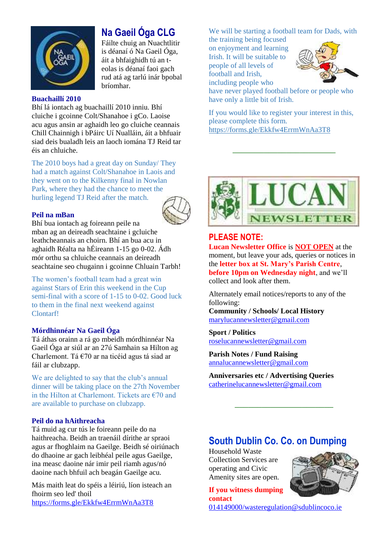

# **Na Gaeil Óga CLG**

Fáilte chuig an Nuachtlitir is déanaí ó Na Gaeil Óga, áit a bhfaighidh tú an teolas is déanaí faoi gach rud atá ag tarlú inár bpobal bríomhar.

### **Buachaillí 2010**

Bhí lá iontach ag buachaillí 2010 inniu. Bhí cluiche i gcoinne Colt/Shanahoe i gCo. Laoise acu agus ansin ar aghaidh leo go cluiche ceannais Chill Chainnigh i bPáirc Uí Nualláin, áit a bhfuair siad deis bualadh leis an laoch iomána TJ Reid tar éis an chluiche.

The 2010 boys had a great day on Sunday/ They had a match against Colt/Shanahoe in Laois and they went on to the Kilkenny final in Nowlan Park, where they had the chance to meet the hurling legend TJ Reid after the match.

## **Peil na mBan**



Bhí bua iontach ag foireann peile na mban ag an deireadh seachtaine i gcluiche leathcheannais an choirn. Bhí an bua acu in aghaidh Réalta na hÉireann 1-15 go 0-02. Ádh mór orthu sa chluiche ceannais an deireadh seachtaine seo chugainn i gcoinne Chluain Tarbh!

The women's football team had a great win against Stars of Erin this weekend in the Cup semi-final with a score of 1-15 to 0-02. Good luck to them in the final next weekend against Clontarf!

## **Mórdhinnéar Na Gaeil Óga**

Tá áthas orainn a rá go mbeidh mórdhinnéar Na Gaeil Óga ar siúl ar an 27ú Samhain sa Hilton ag Charlemont. Tá €70 ar na ticéid agus tá siad ar fáil ar clubzapp.

We are delighted to say that the club's annual dinner will be taking place on the 27th November in the Hilton at Charlemont. Tickets are  $E$ 70 and are available to purchase on clubzapp.

## **Peil do na hAithreacha**

Tá muid ag cur tús le foireann peile do na haithreacha. Beidh an traenáil dírithe ar spraoi agus ar fhoghlaim na Gaeilge. Beidh sé oiriúnach do dhaoine ar gach leibhéal peile agus Gaeilge, ina measc daoine nár imir peil riamh agus/nó daoine nach bhfuil ach beagán Gaeilge acu.

Más maith leat do spéis a léiriú, líon isteach an fhoirm seo led' thoil [https://forms.gle/Ekkfw4ErrmWnAa3T8](https://urldefense.com/v3/__https:/forms.gle/Ekkfw4ErrmWnAa3T8__;!!KV6Wb-o!u_UuGzjOcdXUQR65F-onft9z3iIuY9Xr2zzaSShV_tItzYz8otQqNRetAJzJEBm8$)

We will be starting a football team for Dads, with

the training being focused on enjoyment and learning Irish. It will be suitable to people of all levels of football and Irish, including people who



have never played football before or people who have only a little bit of Irish.

If you would like to register your interest in this, please complete this form. [https://forms.gle/Ekkfw4ErrmWnAa3T8](https://urldefense.com/v3/__https:/forms.gle/Ekkfw4ErrmWnAa3T8__;!!KV6Wb-o!u_UuGzjOcdXUQR65F-onft9z3iIuY9Xr2zzaSShV_tItzYz8otQqNRetAJzJEBm8$)

\_\_\_\_\_\_\_\_\_\_\_\_\_\_\_\_\_\_\_\_\_\_\_



## **PLEASE NOTE:**

**Lucan Newsletter Office** is **NOT OPEN** at the moment, but leave your ads, queries or notices in the **letter box at St. Mary's Parish Centre**, **before 10pm on Wednesday night**, and we'll collect and look after them.

Alternately email notices/reports to any of the following:

**Community / Schools/ Local History**  [marylucannewsletter@gmail.com](mailto:marylucannewsletter@gmail.com) 

**Sport / Politics** [roselucannewsletter@gmail.com](mailto:roselucannewsletter@gmail.com)

**Parish Notes / Fund Raising** [annalucannewsletter@gmail.com](mailto:annalucannewsletter@gmail.com)

**Anniversaries etc / Advertising Queries**  [catherinelucannewsletter@gmail.com](mailto:catherinelucannewsletter@gmail.com)

## **South Dublin Co. Co. on Dumping**

\_\_\_\_\_\_\_\_\_\_\_\_\_\_\_\_\_\_\_\_\_\_

Household Waste Collection Services are operating and Civic Amenity sites are open.



**If you witness dumping contact**

[014149000/wasteregulation@sdublincoco.ie](mailto:014149000/wasteregulation@sdublincoco.ie)